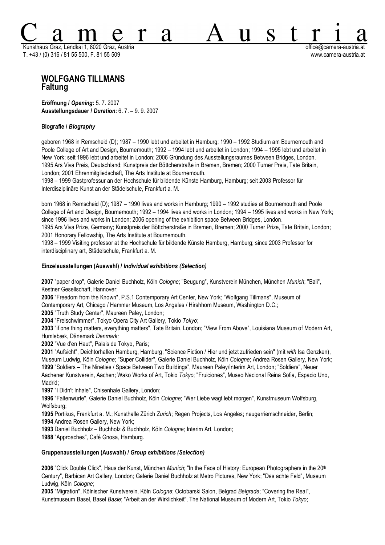Kunsthaus Graz, Lendkai 1, 8020 Graz, Austria office@camera-austria.at T. +43 / (0) 316 / 81 55 500, F. 81 55 509 www.camera-austria.at

S

 $\mathbf{1}$ 

# **WOLFGANG TILLMANS Faltung**

**Eröffnung /** *Opening***:** 5. 7. 2007 **Ausstellungsdauer /** *Duration***:** 6. 7. – 9. 9. 2007

### **Biografie /** *Biography*

geboren 1968 in Remscheid (D); 1987 – 1990 lebt und arbeitet in Hamburg; 1990 – 1992 Studium am Bournemouth and Poole College of Art and Design, Bournemouth; 1992 – 1994 lebt und arbeitet in London; 1994 – 1995 lebt und arbeitet in New York; seit 1996 lebt und arbeitet in London; 2006 Gründung des Ausstellungsraumes Between Bridges, London. 1995 Ars Viva Preis, Deutschland; Kunstpreis der Böttcherstraße in Bremen, Bremen; 2000 Turner Preis, Tate Britain, London; 2001 Ehrenmitgliedschaft, The Arts Institute at Bournemouth.

1998 – 1999 Gastprofessur an der Hochschule für bildende Künste Hamburg, Hamburg; seit 2003 Professor für Interdisziplinäre Kunst an der Städelschule, Frankfurt a. M.

A

born 1968 in Remscheid (D); 1987 – 1990 lives and works in Hamburg; 1990 – 1992 studies at Bournemouth and Poole College of Art and Design, Bournemouth; 1992 – 1994 lives and works in London; 1994 – 1995 lives and works in New York; since 1996 lives and works in London; 2006 opening of the exhibition space Between Bridges, London.

1995 Ars Viva Prize, Germany; Kunstpreis der Böttcherstraße in Bremen, Bremen; 2000 Turner Prize, Tate Britain, London; 2001 Honorary Fellowship, The Arts Institute at Bournemouth.

1998 – 1999 Visiting professor at the Hochschule für bildende Künste Hamburg, Hamburg; since 2003 Professor for interdisciplinary art, Städelschule, Frankfurt a. M.

### **Einzelausstellungen (Auswahl) /** *Individual exhibitions (Selection)*

**2007** "paper drop", Galerie Daniel Buchholz, Köln *Cologne*; "Beugung", Kunstverein München, München *Munich*; "Bali", Kestner Gesellschaft, Hannover;

**2006** "Freedom from the Known", P.S.1 Contemporary Art Center, New York; "Wolfgang Tillmans", Museum of Contemporary Art, Chicago / Hammer Museum, Los Angeles / Hirshhorn Museum, Washington D.C.;

**2005** "Truth Study Center", Maureen Paley, London;

**2004** "Freischwimmer", Tokyo Opera City Art Gallery, Tokio *Tokyo*;

**2003** "if one thing matters, everything matters", Tate Britain, London; "View From Above", Louisiana Museum of Modern Art, Humlebæk, Dänemark *Denmark;*

**2002** "Vue d'en Haut", Palais de Tokyo, Paris;

**2001** "Aufsicht", Deichtorhallen Hamburg, Hamburg; "Science Fiction / Hier und jetzt zufrieden sein" (mit *with* Isa Genzken), Museum Ludwig, Köln *Cologne*; "Super Collider", Galerie Daniel Buchholz, Köln *Cologne*; Andrea Rosen Gallery, New York; **1999** "Soldiers – The Nineties / Space Between Two Buildings", Maureen Paley/Interim Art, London; "Soldiers", Neuer Aachener Kunstverein, Aachen; Wako Works of Art, Tokio *Tokyo*; "Fruiciones", Museo Nacional Reina Sofia, Espacio Uno, Madrid;

**1997** "I Didn't Inhale", Chisenhale Gallery, London;

**1996** "Faltenwürfe", Galerie Daniel Buchholz, Köln *Cologne*; "Wer Liebe wagt lebt morgen", Kunstmuseum Wolfsburg, Wolfsburg;

**1995** Portikus, Frankfurt a. M.; Kunsthalle Zürich *Zurich*; Regen Projects, Los Angeles; neugerriemschneider, Berlin; **1994** Andrea Rosen Gallery, New York;

**1993** Daniel Buchholz – Buchholz & Buchholz, Köln *Cologne*; Interim Art, London;

**1988** "Approaches", Café Gnosa, Hamburg.

# **Gruppenausstellungen (Auswahl) /** *Group exhibitions (Selection)*

**2006** "Click Double Click", Haus der Kunst, München *Munich*; "In the Face of History: European Photographers in the 20th Century", Barbican Art Gallery, London; Galerie Daniel Buchholz at Metro Pictures, New York; "Das achte Feld", Museum Ludwig, Köln *Cologne*;

**2005** "Migration", Kölnischer Kunstverein, Köln *Cologne*; Octobarski Salon, Belgrad *Belgrade*; "Covering the Real", Kunstmuseum Basel, Basel *Basle*; "Arbeit an der Wirklichkeit", The National Museum of Modern Art, Tokio *Tokyo*;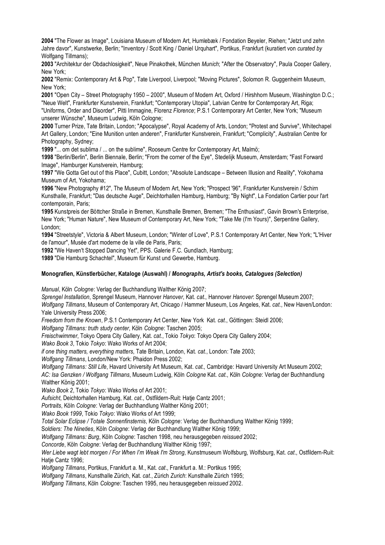**2004** "The Flower as Image", Louisiana Museum of Modern Art, Humlebæk / Fondation Beyeler, Riehen; "Jetzt und zehn Jahre davor", Kunstwerke, Berlin; "Inventory / Scott King / Daniel Urquhart", Portikus, Frankfurt (kuratiert von *curated by* Wolfgang Tillmans);

**2003** "Architektur der Obdachlosigkeit", Neue Pinakothek, München *Munich*; "After the Observatory", Paula Cooper Gallery, New York;

**2002** "Remix: Contemporary Art & Pop", Tate Liverpool, Liverpool; "Moving Pictures", Solomon R. Guggenheim Museum, New York;

**2001** "Open City – Street Photography 1950 – 2000", Museum of Modern Art, Oxford / Hirshhorn Museum, Washington D.C.; "Neue Welt", Frankfurter Kunstverein, Frankfurt; "Contemporary Utopia", Latvian Centre for Contemporary Art, Riga; "Uniforms, Order and Disorder", Pitti Immagine, Florenz *Florence*; P.S.1 Contemporary Art Center, New York; "Museum unserer Wünsche", Museum Ludwig, Köln Cologne;

**2000** Turner Prize, Tate Britain, London; "Apocalypse", Royal Academy of Arts, London; "Protest and Survive", Whitechapel Art Gallery, London; "Eine Munition unten anderen", Frankfurter Kunstverein, Frankfurt; "Complicity", Australian Centre for Photography, Sydney;

**1999** "... om det sublima / ... on the sublime", Rooseum Centre for Contemporary Art, Malmö;

**1998** "Berlin/Berlin", Berlin Biennale, Berlin; "From the corner of the Eye", Stedelijk Museum, Amsterdam; "Fast Forward Image", Hamburger Kunstverein, Hamburg;

**1997** "We Gotta Get out of this Place", Cubitt, London; "Absolute Landscape – Between Illusion and Reality", Yokohama Museum of Art, Yokohama;

**1996** "New Photography #12", The Museum of Modern Art, New York; "Prospect '96", Frankfurter Kunstverein / Schirn Kunsthalle, Frankfurt; "Das deutsche Auge", Deichtorhallen Hamburg, Hamburg; "By Night", La Fondation Cartier pour l'art contemporain, Paris;

**1995** Kunstpreis der Böttcher Straße in Bremen, Kunsthalle Bremen, Bremen; "The Enthusiast", Gavin Brown's Enterprise, New York; "Human Nature", New Museum of Contemporary Art, New York; "Take Me (I'm Yours)", Serpentine Gallery, London;

**1994** "Streetstyle", Victoria & Albert Museum, London; "Winter of Love", P.S.1 Contemporary Art Center, New York; "L'Hiver de l'amour", Musée d'art moderne de la ville de Paris, Paris;

**1992** "We Haven't Stopped Dancing Yet", PPS. Galerie F.C. Gundlach, Hamburg;

**1989** "Die Hamburg Schachtel", Museum für Kunst und Gewerbe, Hamburg.

# **Monografien, Künstlerbücher, Kataloge (Auswahl) /** *Monographs, Artist's books, Catalogues (Selection)*

*Manual*, Köln *Cologne*: Verlag der Buchhandlung Walther König 2007;

*Sprengel Installation*, Sprengel Museum, Hannover *Hanover*, Kat. *cat*., Hannover *Hanover*: Sprengel Museum 2007;

*Wolfgang Tillmans*, Museum of Contemporary Art, Chicago / Hammer Museum, Los Angeles, Kat. *cat*., New Haven/London: Yale University Press 2006;

*Freedom from the Known*, P.S.1 Contemporary Art Center, New York Kat. *cat*., Göttingen: Steidl 2006;

*Wolfgang Tillmans: truth study center*, Köln *Cologne*: Taschen 2005;

*Freischwimmer*, Tokyo Opera City Gallery, Kat. *cat*., Tokio *Tokyo*: Tokyo Opera City Gallery 2004;

*Wako Book 3*, Tokio *Tokyo*: Wako Works of Art 2004;

*if one thing matters, everything matters*, Tate Britain, London, Kat. *cat*., London: Tate 2003;

*Wolfgang Tillmans*, London/New York: Phaidon Press 2002;

*Wolfgang Tillmans: Still Life*, Havard University Art Museum, Kat. *cat*., Cambridge: Havard University Art Museum 2002;

*AC: Isa Genzken / Wolfgang Tillmans*, Museum Ludwig, Köln *Cologne* Kat. *cat.*, Köln *Cologne*: Verlag der Buchhandlung Walther König 2001;

*Wako Book 2*, Tokio *Tokyo*: Wako Works of Art 2001;

*Aufsicht*, Deichtorhallen Hamburg, Kat. *cat*., Ostfildern-Ruit: Hatje Cantz 2001;

*Portraits*, Köln *Cologne*: Verlag der Buchhandlung Walther König 2001;

*Wako Book 1999*, Tokio *Tokyo*: Wako Works of Art 1999;

*Total Solar Eclipse / Totale Sonnenfinsternis*, Köln *Cologne*: Verlag der Buchhandlung Walther König 1999;

S*oldiers: The Nineties*, Köln *Cologne*: Verlag der Buchhandlung Walther König 1999;

*Wolfgang Tillmans: Burg*, Köln *Cologne*: Taschen 1998, neu herausgegeben *reissued* 2002;

*Concorde*, Köln *Cologne*: Verlag der Buchhandlung Walther König 1997;

*Wer Liebe wagt lebt morgen / For When I'm Weak I'm Strong*, Kunstmuseum Wolfsburg, Wolfsburg, Kat. *cat*., Ostfildern-Ruit: Hatje Cantz 1996;

*Wolfgang Tillmans*, Portikus, Frankfurt a. M., Kat. *cat*., Frankfurt a. M.: Portikus 1995;

*Wolfgang Tillmans*, Kunsthalle Zürich, Kat. *cat*., Zürich *Zurich*: Kunsthalle Zürich 1995;

*Wolfgang Tillmans*, Köln *Cologne*: Taschen 1995, neu herausgegeben *reissued* 2002.